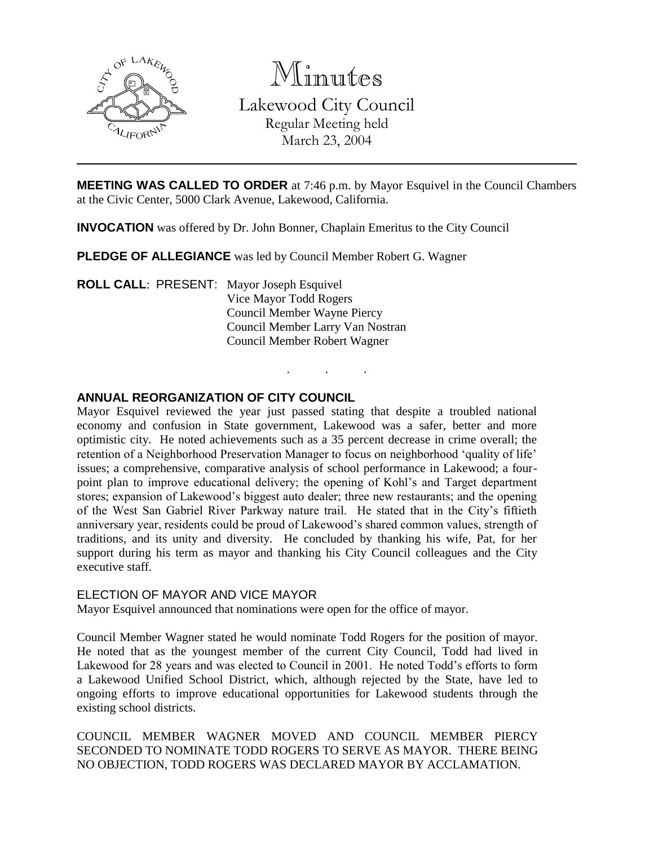

Minutes

Lakewood City Council Regular Meeting held

March 23, 2004

**MEETING WAS CALLED TO ORDER** at 7:46 p.m. by Mayor Esquivel in the Council Chambers at the Civic Center, 5000 Clark Avenue, Lakewood, California.

. . .

**INVOCATION** was offered by Dr. John Bonner, Chaplain Emeritus to the City Council

**PLEDGE OF ALLEGIANCE** was led by Council Member Robert G. Wagner

**ROLL CALL**: PRESENT: Mayor Joseph Esquivel Vice Mayor Todd Rogers Council Member Wayne Piercy Council Member Larry Van Nostran Council Member Robert Wagner

## **ANNUAL REORGANIZATION OF CITY COUNCIL**

Mayor Esquivel reviewed the year just passed stating that despite a troubled national economy and confusion in State government, Lakewood was a safer, better and more optimistic city. He noted achievements such as a 35 percent decrease in crime overall; the retention of a Neighborhood Preservation Manager to focus on neighborhood 'quality of life' issues; a comprehensive, comparative analysis of school performance in Lakewood; a fourpoint plan to improve educational delivery; the opening of Kohl's and Target department stores; expansion of Lakewood's biggest auto dealer; three new restaurants; and the opening of the West San Gabriel River Parkway nature trail. He stated that in the City's fiftieth anniversary year, residents could be proud of Lakewood's shared common values, strength of traditions, and its unity and diversity. He concluded by thanking his wife, Pat, for her support during his term as mayor and thanking his City Council colleagues and the City executive staff.

## ELECTION OF MAYOR AND VICE MAYOR

Mayor Esquivel announced that nominations were open for the office of mayor.

Council Member Wagner stated he would nominate Todd Rogers for the position of mayor. He noted that as the youngest member of the current City Council, Todd had lived in Lakewood for 28 years and was elected to Council in 2001. He noted Todd's efforts to form a Lakewood Unified School District, which, although rejected by the State, have led to ongoing efforts to improve educational opportunities for Lakewood students through the existing school districts.

COUNCIL MEMBER WAGNER MOVED AND COUNCIL MEMBER PIERCY SECONDED TO NOMINATE TODD ROGERS TO SERVE AS MAYOR. THERE BEING NO OBJECTION, TODD ROGERS WAS DECLARED MAYOR BY ACCLAMATION.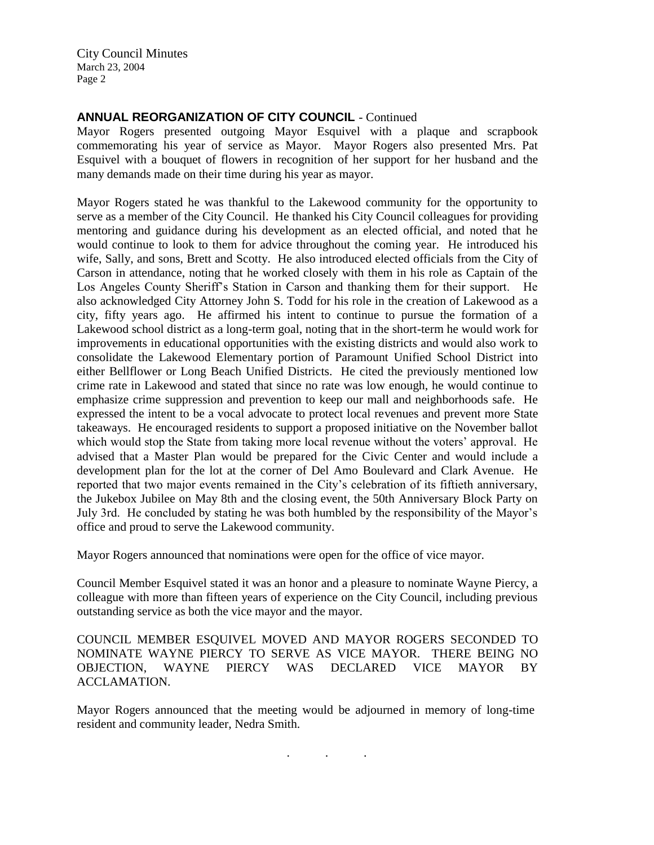City Council Minutes March 23, 2004 Page 2

## **ANNUAL REORGANIZATION OF CITY COUNCIL** - Continued

Mayor Rogers presented outgoing Mayor Esquivel with a plaque and scrapbook commemorating his year of service as Mayor. Mayor Rogers also presented Mrs. Pat Esquivel with a bouquet of flowers in recognition of her support for her husband and the many demands made on their time during his year as mayor.

Mayor Rogers stated he was thankful to the Lakewood community for the opportunity to serve as a member of the City Council. He thanked his City Council colleagues for providing mentoring and guidance during his development as an elected official, and noted that he would continue to look to them for advice throughout the coming year. He introduced his wife, Sally, and sons, Brett and Scotty. He also introduced elected officials from the City of Carson in attendance, noting that he worked closely with them in his role as Captain of the Los Angeles County Sheriff's Station in Carson and thanking them for their support. He also acknowledged City Attorney John S. Todd for his role in the creation of Lakewood as a city, fifty years ago. He affirmed his intent to continue to pursue the formation of a Lakewood school district as a long-term goal, noting that in the short-term he would work for improvements in educational opportunities with the existing districts and would also work to consolidate the Lakewood Elementary portion of Paramount Unified School District into either Bellflower or Long Beach Unified Districts. He cited the previously mentioned low crime rate in Lakewood and stated that since no rate was low enough, he would continue to emphasize crime suppression and prevention to keep our mall and neighborhoods safe. He expressed the intent to be a vocal advocate to protect local revenues and prevent more State takeaways. He encouraged residents to support a proposed initiative on the November ballot which would stop the State from taking more local revenue without the voters' approval. He advised that a Master Plan would be prepared for the Civic Center and would include a development plan for the lot at the corner of Del Amo Boulevard and Clark Avenue. He reported that two major events remained in the City's celebration of its fiftieth anniversary, the Jukebox Jubilee on May 8th and the closing event, the 50th Anniversary Block Party on July 3rd. He concluded by stating he was both humbled by the responsibility of the Mayor's office and proud to serve the Lakewood community.

Mayor Rogers announced that nominations were open for the office of vice mayor.

Council Member Esquivel stated it was an honor and a pleasure to nominate Wayne Piercy, a colleague with more than fifteen years of experience on the City Council, including previous outstanding service as both the vice mayor and the mayor.

COUNCIL MEMBER ESQUIVEL MOVED AND MAYOR ROGERS SECONDED TO NOMINATE WAYNE PIERCY TO SERVE AS VICE MAYOR. THERE BEING NO OBJECTION, WAYNE PIERCY WAS DECLARED VICE MAYOR BY ACCLAMATION.

Mayor Rogers announced that the meeting would be adjourned in memory of long-time resident and community leader, Nedra Smith.

. . .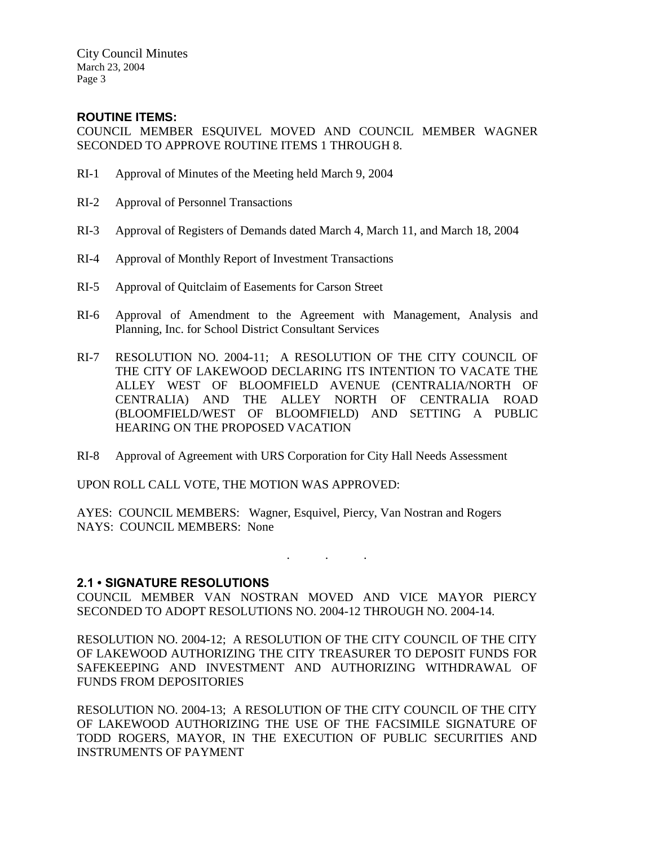City Council Minutes March 23, 2004 Page 3

## **ROUTINE ITEMS:**

COUNCIL MEMBER ESQUIVEL MOVED AND COUNCIL MEMBER WAGNER SECONDED TO APPROVE ROUTINE ITEMS 1 THROUGH 8.

- RI-1 Approval of Minutes of the Meeting held March 9, 2004
- RI-2 Approval of Personnel Transactions
- RI-3 Approval of Registers of Demands dated March 4, March 11, and March 18, 2004
- RI-4 Approval of Monthly Report of Investment Transactions
- RI-5 Approval of Quitclaim of Easements for Carson Street
- RI-6 Approval of Amendment to the Agreement with Management, Analysis and Planning, Inc. for School District Consultant Services
- RI-7 RESOLUTION NO. 2004-11; A RESOLUTION OF THE CITY COUNCIL OF THE CITY OF LAKEWOOD DECLARING ITS INTENTION TO VACATE THE ALLEY WEST OF BLOOMFIELD AVENUE (CENTRALIA/NORTH OF CENTRALIA) AND THE ALLEY NORTH OF CENTRALIA ROAD (BLOOMFIELD/WEST OF BLOOMFIELD) AND SETTING A PUBLIC HEARING ON THE PROPOSED VACATION
- RI-8 Approval of Agreement with URS Corporation for City Hall Needs Assessment

UPON ROLL CALL VOTE, THE MOTION WAS APPROVED:

AYES: COUNCIL MEMBERS: Wagner, Esquivel, Piercy, Van Nostran and Rogers NAYS: COUNCIL MEMBERS: None

. . .

#### **2.1 • SIGNATURE RESOLUTIONS**

COUNCIL MEMBER VAN NOSTRAN MOVED AND VICE MAYOR PIERCY SECONDED TO ADOPT RESOLUTIONS NO. 2004-12 THROUGH NO. 2004-14.

RESOLUTION NO. 2004-12; A RESOLUTION OF THE CITY COUNCIL OF THE CITY OF LAKEWOOD AUTHORIZING THE CITY TREASURER TO DEPOSIT FUNDS FOR SAFEKEEPING AND INVESTMENT AND AUTHORIZING WITHDRAWAL OF FUNDS FROM DEPOSITORIES

RESOLUTION NO. 2004-13; A RESOLUTION OF THE CITY COUNCIL OF THE CITY OF LAKEWOOD AUTHORIZING THE USE OF THE FACSIMILE SIGNATURE OF TODD ROGERS, MAYOR, IN THE EXECUTION OF PUBLIC SECURITIES AND INSTRUMENTS OF PAYMENT